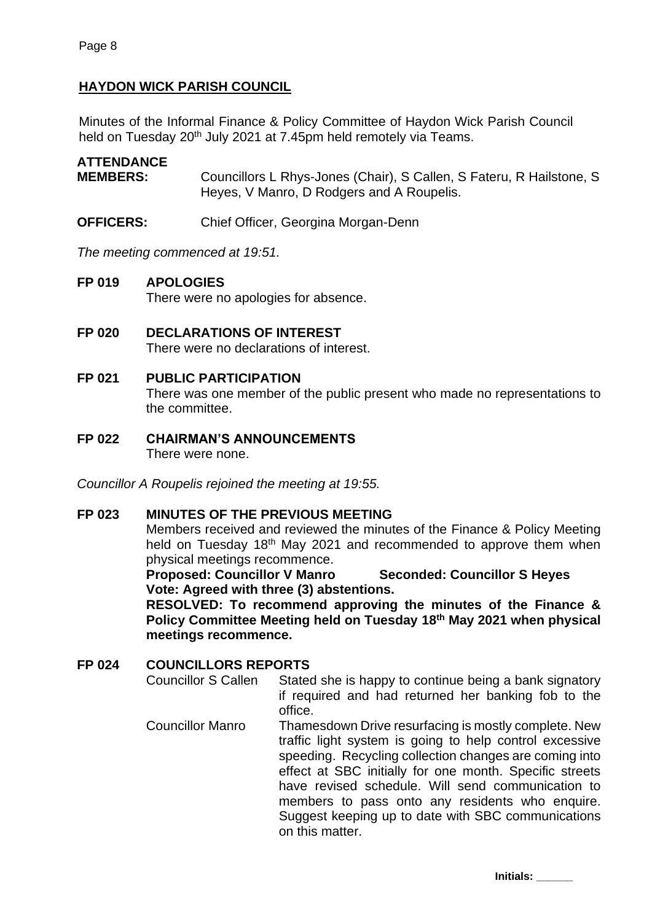# **HAYDON WICK PARISH COUNCIL**

Minutes of the Informal Finance & Policy Committee of Haydon Wick Parish Council held on Tuesday 20<sup>th</sup> July 2021 at 7.45pm held remotely via Teams.

# **ATTENDANCE**

**MEMBERS:** Councillors L Rhys-Jones (Chair), S Callen, S Fateru, R Hailstone, S Heyes, V Manro, D Rodgers and A Roupelis.

**OFFICERS:** Chief Officer, Georgina Morgan-Denn

*The meeting commenced at 19:51.*

# **FP 019 APOLOGIES**

There were no apologies for absence.

**FP 020 DECLARATIONS OF INTEREST** There were no declarations of interest.

# **FP 021 PUBLIC PARTICIPATION**

There was one member of the public present who made no representations to the committee.

**FP 022 CHAIRMAN'S ANNOUNCEMENTS** There were none.

*Councillor A Roupelis rejoined the meeting at 19:55.*

#### **FP 023 MINUTES OF THE PREVIOUS MEETING**

Members received and reviewed the minutes of the Finance & Policy Meeting held on Tuesday 18<sup>th</sup> May 2021 and recommended to approve them when physical meetings recommence.

**Proposed: Councillor V Manro Seconded: Councillor S Heyes Vote: Agreed with three (3) abstentions.**

**RESOLVED: To recommend approving the minutes of the Finance & Policy Committee Meeting held on Tuesday 18th May 2021 when physical meetings recommence.**

# **FP 024 COUNCILLORS REPORTS**

Councillor S Callen Stated she is happy to continue being a bank signatory if required and had returned her banking fob to the office.

Councillor Manro Thamesdown Drive resurfacing is mostly complete. New traffic light system is going to help control excessive speeding. Recycling collection changes are coming into effect at SBC initially for one month. Specific streets have revised schedule. Will send communication to members to pass onto any residents who enquire. Suggest keeping up to date with SBC communications on this matter.

**Initials: \_\_\_\_\_\_**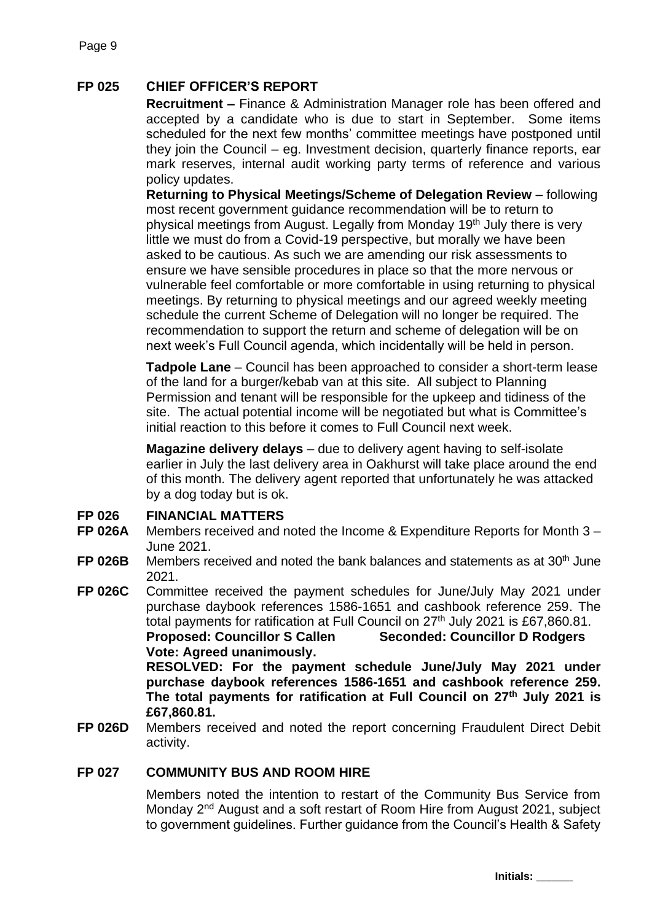# **FP 025 CHIEF OFFICER'S REPORT**

**Recruitment –** Finance & Administration Manager role has been offered and accepted by a candidate who is due to start in September. Some items scheduled for the next few months' committee meetings have postponed until they join the Council – eg. Investment decision, quarterly finance reports, ear mark reserves, internal audit working party terms of reference and various policy updates.

**Returning to Physical Meetings/Scheme of Delegation Review** – following most recent government guidance recommendation will be to return to physical meetings from August. Legally from Monday 19th July there is very little we must do from a Covid-19 perspective, but morally we have been asked to be cautious. As such we are amending our risk assessments to ensure we have sensible procedures in place so that the more nervous or vulnerable feel comfortable or more comfortable in using returning to physical meetings. By returning to physical meetings and our agreed weekly meeting schedule the current Scheme of Delegation will no longer be required. The recommendation to support the return and scheme of delegation will be on next week's Full Council agenda, which incidentally will be held in person.

**Tadpole Lane** – Council has been approached to consider a short-term lease of the land for a burger/kebab van at this site. All subject to Planning Permission and tenant will be responsible for the upkeep and tidiness of the site. The actual potential income will be negotiated but what is Committee's initial reaction to this before it comes to Full Council next week.

**Magazine delivery delays** – due to delivery agent having to self-isolate earlier in July the last delivery area in Oakhurst will take place around the end of this month. The delivery agent reported that unfortunately he was attacked by a dog today but is ok.

#### **FP 026 FINANCIAL MATTERS**

- **FP 026A** Members received and noted the Income & Expenditure Reports for Month 3 – June 2021.
- **FP 026B** Members received and noted the bank balances and statements as at 30<sup>th</sup> June 2021.
- **FP 026C** Committee received the payment schedules for June/July May 2021 under purchase daybook references 1586-1651 and cashbook reference 259. The total payments for ratification at Full Council on 27<sup>th</sup> July 2021 is £67,860.81. **Proposed: Councillor S Callen Seconded: Councillor D Rodgers Vote: Agreed unanimously.**

**RESOLVED: For the payment schedule June/July May 2021 under purchase daybook references 1586-1651 and cashbook reference 259. The total payments for ratification at Full Council on 27th July 2021 is £67,860.81.**

**FP 026D** Members received and noted the report concerning Fraudulent Direct Debit activity.

#### **FP 027 COMMUNITY BUS AND ROOM HIRE**

Members noted the intention to restart of the Community Bus Service from Monday 2<sup>nd</sup> August and a soft restart of Room Hire from August 2021, subject to government guidelines. Further guidance from the Council's Health & Safety